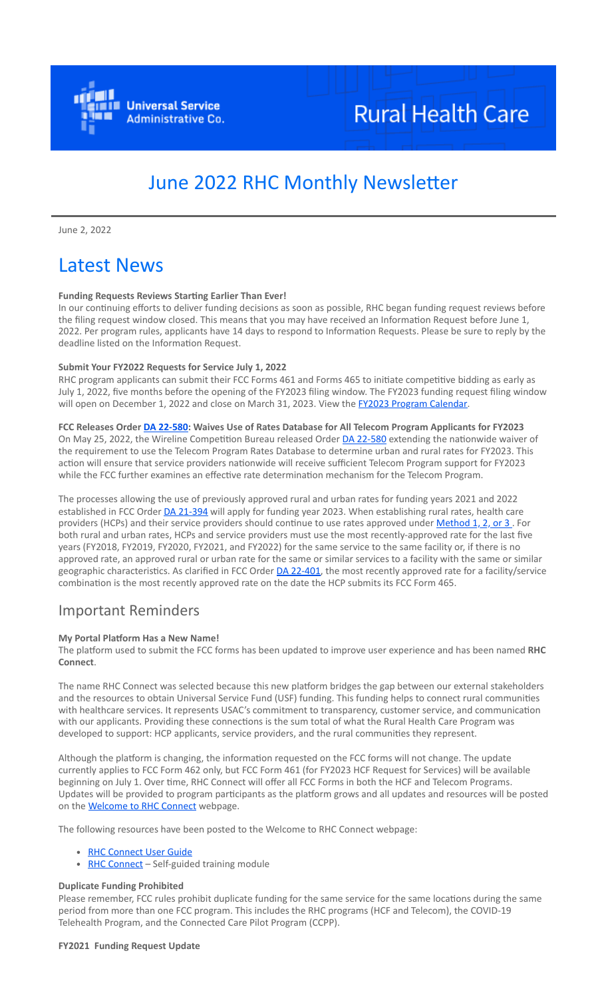

# **Rural Health Care**

## June 2022 RHC Monthly Newsletter

June 2, 2022

## Latest News

#### **Funding Requests Reviews Starting Earlier Than Ever!**

In our continuing efforts to deliver funding decisions as soon as possible, RHC began funding request reviews before the filing request window closed. This means that you may have received an Information Request before June 1, 2022. Per program rules, applicants have 14 days to respond to Information Requests. Please be sure to reply by the deadline listed on the Information Request.

#### **Submit Your FY2022 Requests for Service July 1, 2022**

RHC program applicants can submit their FCC Forms 461 and Forms 465 to initiate competitive bidding as early as July 1, 2022, five months before the opening of the FY2023 filing window. The FY2023 funding request filing window will open on December 1, 2022 and close on March 31, 2023. View the [FY2023 Program Calendar](https://click.outreach.usac.org/?qs=5560e159d70adde9d1ca6c3ed9b145f5bf77dd7be637e862c4b6bfb309ada7b48521e579d0cde73f48132140bfba4aa237832bb2f5081cf9).

**FCC Releases Order [DA 22-580](https://click.outreach.usac.org/?qs=5560e159d70adde9cddb03aa4bddd44514e02e2e8364e42cd681fae44532e1aa82fc109f74ade442e0c8298d74d0dfa2539b2e228625a032): Waives Use of Rates Database for All Telecom Program Applicants for FY2023** On May 25, 2022, the Wireline Competition Bureau released Order [DA 22-580](https://click.outreach.usac.org/?qs=5560e159d70adde9cddb03aa4bddd44514e02e2e8364e42cd681fae44532e1aa82fc109f74ade442e0c8298d74d0dfa2539b2e228625a032) extending the nationwide waiver of the requirement to use the Telecom Program Rates Database to determine urban and rural rates for FY2023. This action will ensure that service providers nationwide will receive sufficient Telecom Program support for FY2023 while the FCC further examines an effective rate determination mechanism for the Telecom Program.

The processes allowing the use of previously approved rural and urban rates for funding years 2021 and 2022 established in FCC Order [DA 21-394](https://click.outreach.usac.org/?qs=5560e159d70adde9c375e48a773d100155b5492730b049844aa4efe62b97ae97caa8f822a46f5b56de8a0a77ad46d67eda7b0f3ba9aab2fe) will apply for funding year 2023. When establishing rural rates, health care providers (HCPs) and their service providers should continue to use rates approved under [Method 1, 2, or 3](https://click.outreach.usac.org/?qs=5560e159d70adde953cf443d47d3bb30a12e4b5bbe78852b0d63a6eeb1a8b3b48d1a50e68d74df372470e9b70a182aeb77e64e5a5c9d285a). For both rural and urban rates, HCPs and service providers must use the most recently-approved rate for the last five years (FY2018, FY2019, FY2020, FY2021, and FY2022) for the same service to the same facility or, if there is no approved rate, an approved rural or urban rate for the same or similar services to a facility with the same or similar geographic characteristics. As clarified in FCC Order *DA 22-401*, the most recently approved rate for a facility/service combination is the most recently approved rate on the date the HCP submits its FCC Form 465.

### Important Reminders

#### **My Portal Platform Has a New Name!**

The platform used to submit the FCC forms has been updated to improve user experience and has been named **RHC Connect**.

The name RHC Connect was selected because this new platform bridges the gap between our external stakeholders and the resources to obtain Universal Service Fund (USF) funding. This funding helps to connect rural communities with healthcare services. It represents USAC's commitment to transparency, customer service, and communication with our applicants. Providing these connections is the sum total of what the Rural Health Care Program was developed to support: HCP applicants, service providers, and the rural communities they represent.

Although the platform is changing, the information requested on the FCC forms will not change. The update currently applies to FCC Form 462 only, but FCC Form 461 (for FY2023 HCF Request for Services) will be available beginning on July 1. Over time, RHC Connect will offer all FCC Forms in both the HCF and Telecom Programs. Updates will be provided to program participants as the platform grows and all updates and resources will be posted on the **[Welcome to RHC Connect](https://click.outreach.usac.org/?qs=5560e159d70adde97b94870cf7a3f09f2d3e42283d34bc83158b3959e6c3b651037925c225793f6567d7922a2bc3d770a38159dd2a32aa9e)** webpage.

The following resources have been posted to the Welcome to RHC Connect webpage:

- [RHC Connect User Guide](https://click.outreach.usac.org/?qs=5560e159d70adde98d6dd04bbb38c0d7c7685cb4af7248ed139385165453446faeaa038147fffb69d63a5aa29c902297621b65c148a81a25)
- [RHC Connect](https://click.outreach.usac.org/?qs=5560e159d70adde9ef78d380377f67dc29e026e868ecf987dd618129267402c65997f8f2f93640228a8f2cabb18ac0111405fcf2496b1240) Self-guided training module

#### **Duplicate Funding Prohibited**

Please remember, FCC rules prohibit duplicate funding for the same service for the same locations during the same period from more than one FCC program. This includes the RHC programs (HCF and Telecom), the COVID-19 Telehealth Program, and the Connected Care Pilot Program (CCPP).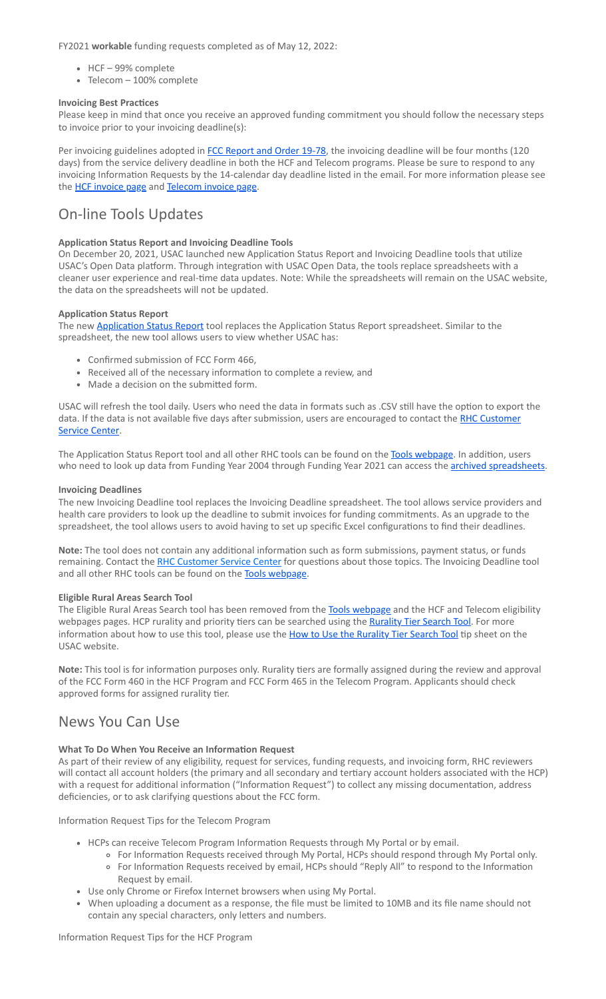#### FY2021 **workable** funding requests completed as of May 12, 2022:

- HCF 99% complete
- Telecom 100% complete

#### **Invoicing Best Practices**

Please keep in mind that once you receive an approved funding commitment you should follow the necessary steps to invoice prior to your invoicing deadline(s):

Per invoicing guidelines adopted in [FCC Report and Order 19-78](https://click.outreach.usac.org/?qs=5560e159d70adde9a1d4b556b4e87e5b531e3e3ed763df0a2c9a9d43cbf3254c7aed852f0f3b4f7c05c01e95f1f94d6473e690fbcc003bae), the invoicing deadline will be four months (120 days) from the service delivery deadline in both the HCF and Telecom programs. Please be sure to respond to any invoicing Information Requests by the 14-calendar day deadline listed in the email. For more information please see the [HCF invoice page](https://click.outreach.usac.org/?qs=5560e159d70adde9070539de5ffc3c97b377f287cc5eb04884da2fbbe21e03fa2f3cbeba107314c4bae37de0f455e63b99ba14c2593fc4a2) and [Telecom invoice page](https://click.outreach.usac.org/?qs=5560e159d70adde9fab8f55d1552003da2063cc333ae09be766b821bb7d78c27212386f822ce3fcc48eaf102cef6fc8e2c098c6bce9e8500).

## On-line Tools Updates

#### **Application Status Report and Invoicing Deadline Tools**

On December 20, 2021, USAC launched new Application Status Report and Invoicing Deadline tools that utilize USAC's Open Data platform. Through integration with USAC Open Data, the tools replace spreadsheets with a cleaner user experience and real-time data updates. Note: While the spreadsheets will remain on the USAC website, the data on the spreadsheets will not be updated.

#### **Application Status Report**

The new [Application Status Report](https://click.outreach.usac.org/?qs=5560e159d70adde9058952b7b8b487481c61dce6a88335fd270d7f5339e28ccda080ae7381e261fc7cadbcbf6763d369628c9bd07e95dea8) tool replaces the Application Status Report spreadsheet. Similar to the spreadsheet, the new tool allows users to view whether USAC has:

- Confirmed submission of FCC Form 466,
- Received all of the necessary information to complete a review, and
- Made a decision on the submitted form.

USAC will refresh the tool daily. Users who need the data in formats such as .CSV still have the option to export the [data. If the data is not available five days after submission, users are encouraged to contact the RHC Customer](mailto:RHC-Assist@usac.org?subject=) Service Center.

The Application Status Report tool and all other RHC tools can be found on the [Tools webpage.](https://click.outreach.usac.org/?qs=5560e159d70adde9e7fc1c72bde9d9ec0a8c82604d693d2909b0c8f1188a5a549c3910c1e0c007b58e5749d87d5c3bbaf6950fb9fbac0330) In addition, users who need to look up data from Funding Year 2004 through Funding Year 2021 can access the **[archived spreadsheets](https://click.outreach.usac.org/?qs=5560e159d70adde916f4f1a2c9a503bc731f557a7e39b9e0d015d7fa1c61cada969810822fca0a88dc5874f75fba104b410618f15d8651b6)**.

#### **Invoicing Deadlines**

The new Invoicing Deadline tool replaces the Invoicing Deadline spreadsheet. The tool allows service providers and health care providers to look up the deadline to submit invoices for funding commitments. As an upgrade to the spreadsheet, the tool allows users to avoid having to set up specific Excel configurations to find their deadlines.

**Note:** The tool does not contain any additional information such as form submissions, payment status, or funds remaining. Contact the [RHC Customer Service Center](mailto:RHC-Assist@usac.org?subject=) for questions about those topics. The Invoicing Deadline tool and all other RHC tools can be found on the [Tools webpage.](https://click.outreach.usac.org/?qs=5560e159d70adde9e7fc1c72bde9d9ec0a8c82604d693d2909b0c8f1188a5a549c3910c1e0c007b58e5749d87d5c3bbaf6950fb9fbac0330)

#### **Eligible Rural Areas Search Tool**

The Eligible Rural Areas Search tool has been removed from the [Tools webpage](https://click.outreach.usac.org/?qs=5560e159d70adde9e7fc1c72bde9d9ec0a8c82604d693d2909b0c8f1188a5a549c3910c1e0c007b58e5749d87d5c3bbaf6950fb9fbac0330) and the HCF and Telecom eligibility webpages pages. HCP rurality and priority tiers can be searched using the **Rurality Tier Search Tool**. For more information about how to use this tool, please use the **[How to Use the Rurality Tier Search Tool](https://click.outreach.usac.org/?qs=5560e159d70adde9651dcdd6bf13fa0f90f6e936e8070c02a14590830334cc0751336605f41c13d4b2f85b8dfad49bd1c0a9d5433eda1911)** tip sheet on the USAC website.

**Note:** This tool is for information purposes only. Rurality tiers are formally assigned during the review and approval of the FCC Form 460 in the HCF Program and FCC Form 465 in the Telecom Program. Applicants should check approved forms for assigned rurality tier.

### News You Can Use

#### **What To Do When You Receive an Information Request**

As part of their review of any eligibility, request for services, funding requests, and invoicing form, RHC reviewers will contact all account holders (the primary and all secondary and tertiary account holders associated with the HCP) with a request for additional information ("Information Request") to collect any missing documentation, address deficiencies, or to ask clarifying questions about the FCC form.

Information Request Tips for the Telecom Program

- HCPs can receive Telecom Program Information Requests through My Portal or by email.
	- For Information Requests received through My Portal, HCPs should respond through My Portal only. For Information Requests received by email, HCPs should "Reply All" to respond to the Information Request by email.
- Use only Chrome or Firefox Internet browsers when using My Portal.
- When uploading a document as a response, the file must be limited to 10MB and its file name should not contain any special characters, only letters and numbers.

Information Request Tips for the HCF Program